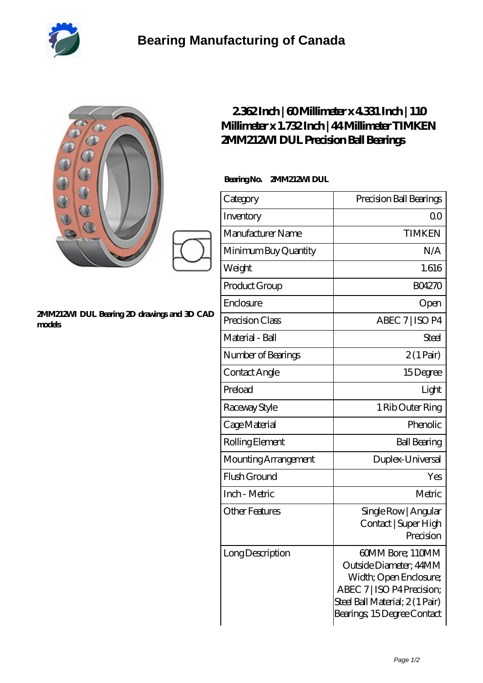

| 888                                                  | 2362Inch   60Millimeter x 4331 Inch   110<br>Millimeter x 1.732 Inch   44 Millimeter TIMKEN<br>2MM212M DUL Precision Ball Bearings<br>BearingNo.<br>2MM212M DUL |                                                                      |  |
|------------------------------------------------------|-----------------------------------------------------------------------------------------------------------------------------------------------------------------|----------------------------------------------------------------------|--|
|                                                      | Category                                                                                                                                                        | Precision Ball Bearings                                              |  |
|                                                      | Inventory                                                                                                                                                       | 0 <sup>0</sup>                                                       |  |
|                                                      | Manufacturer Name                                                                                                                                               | <b>TIMKEN</b>                                                        |  |
|                                                      | Minimum Buy Quantity                                                                                                                                            | N/A                                                                  |  |
|                                                      | Weight                                                                                                                                                          | 1.616                                                                |  |
|                                                      | Product Group                                                                                                                                                   | <b>BO4270</b>                                                        |  |
|                                                      | Enclosure                                                                                                                                                       | Open                                                                 |  |
| 2MM212M DUL Bearing 2D drawings and 3D CAD<br>models | Precision Class                                                                                                                                                 | ABEC 7   ISO P4                                                      |  |
|                                                      | Material - Ball                                                                                                                                                 | <b>Steel</b>                                                         |  |
|                                                      | Number of Bearings                                                                                                                                              | $2(1 \text{Pair})$                                                   |  |
|                                                      | Contact Angle                                                                                                                                                   | 15Degree                                                             |  |
|                                                      | Preload                                                                                                                                                         | Light                                                                |  |
|                                                      | Raceway Style                                                                                                                                                   | 1 Rib Outer Ring                                                     |  |
|                                                      | Cage Material                                                                                                                                                   | Phenolic                                                             |  |
|                                                      | Rolling Element                                                                                                                                                 | <b>Ball Bearing</b>                                                  |  |
|                                                      | Mounting Arrangement                                                                                                                                            | Duplex-Universal                                                     |  |
|                                                      | Flush Ground                                                                                                                                                    | Yes                                                                  |  |
|                                                      | Inch - Metric                                                                                                                                                   | Metric                                                               |  |
|                                                      | <b>Other Features</b>                                                                                                                                           | Single Row   Angular<br>Contact   Super High<br>Precision            |  |
|                                                      | Long Description                                                                                                                                                | 60MM Bore; 110MM<br>Outside Diameter; 44MM<br>Width; Open Enclosure; |  |

ABEC 7 | ISO P4 Precision; Steel Ball Material; 2 (1 Pair) Bearings; 15 Degree Contact